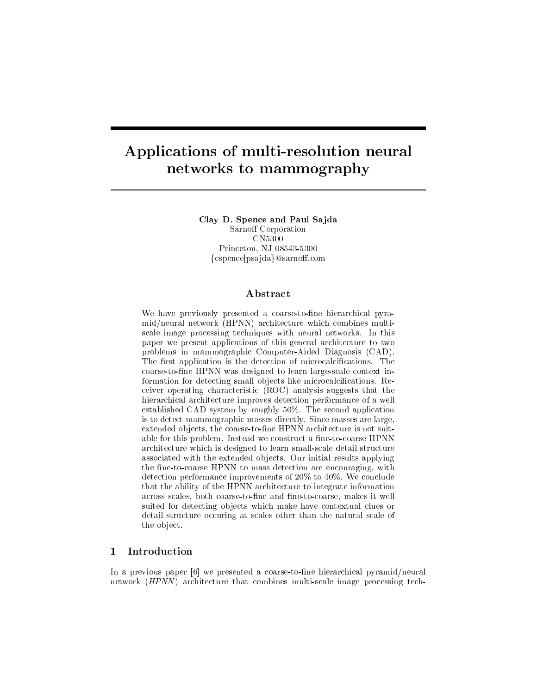# Applications of multi-resolution neural networks to mammography

Clay D. Spence and Paul Sajda Sarnoff Corporation CN5300 Princeton NJ - $\{\rm cspence}$ |psa $\rm{jda}\}$ @sarnoff.com

### ${\bf Abstract}$

We have previously presented a coarse-to-fine hierarchical pyramid/neural network (HPNN) architecture which combines multiscale image processing techniques with neural networks In this paper we present applications of this general architecture to two problems in mammographic Computer-Aided Diagnosis (CAD). The rst application is the detection of microcalcications The coarse-to-fine HPNN was designed to learn large-scale context information for detecting small ob jects like microcalcications Re ceiver operating characteristic ROC analysis suggests that the hierarchical architecture improves detection performance of a well established CAD system by roughly - The second application is to detect mammographic masses directly Since masses are large extended objects, the coarse-to-fine HPNN architecture is not suitable for the problems for the HPNN construct a net of the state HPNN construct a net of  $\mathbb{R}^n$ architecture which is designed to learn smallscale detail structure associated with the extended objects applying the extended objects applying the extended objects applying the e the fine-to-coarse HPNN to mass detection are encouraging, with detection performance improvements of the conclusion performance in the conclusion of to conclusion and the c that the ability of the HPNN architecture to integrate information across scales, both coarse-to-fine and fine-to-coarse, makes it well suited for detecting objects which make have contextual clues or detail structure occuring at scales other than the natural scale of the ob ject

#### $\mathbf{1}$ Introduction

In a previous paper  $[6]$  we presented a coarse-to-fine hierarchical pyramid/neural network (*HPNN*) architecture that combines multi-scale image processing tech-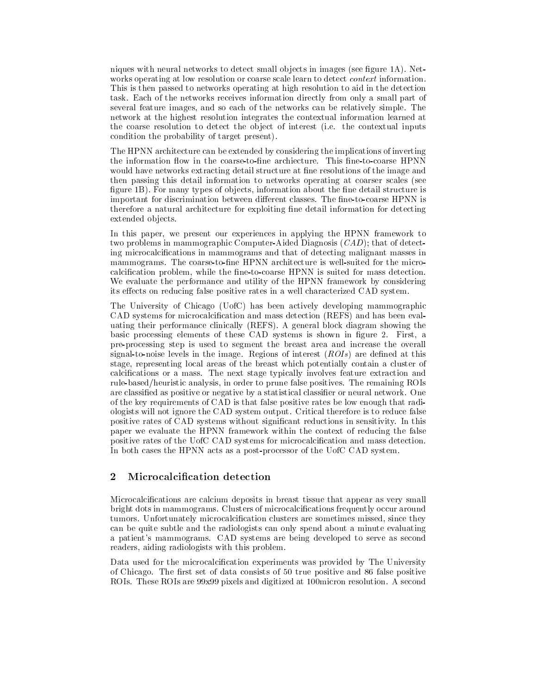niques with neural networks to detect small ob jects in images see gure A Net works operating at low resolution or coarse scale at latence in the scale learn to detect information This is then passed to networks operating at high resolution to aid in the detection task energy tasks receives receives information directly from only a small part of the networks receives in th several feature images and so the source can be relatively simple of the source of the simple simple of the si network at the highest resolution integrates the contextual information learned at the coarse resolution to detect the ob ject of interest i e the contextual inputs condition the probability of target present

The HPNN architecture can be extended by considering the implications of inverting would have networks extracting detail structure at fine resolutions of the image and then passing this detail information to networks operating at coarser scales (see  $F$  for many types of observation about the ne detail structure is the neutral structure is the neutral structure is the neutral structure is the neutral structure is the neutral structure is the neutral structure is the important for discrimination between dierent classes The netocoarse HPNN is therefore a natural architecture for exploiting fine detail information for detecting extended objects.

In this paper, we present our experiences in applying the HPNN framework to two problems in mammographic Computer-Aided Diagnosis  $(CAD)$ ; that of detecting microcalcications in mammograms and that of detecting malignant masses in mammograms – HPN architecture is wells the contracture for the microscopy and microscopy architecture is wellcalcification problem, while the fine-to-coarse HPNN is suited for mass detection. We evaluate the performance and utility of the HPNN framework by considering its effects on reducing false positive rates in a well characterized CAD system.

The University of Chicago UofC has been actively developing mammographic CAD systems for microcalcification and mass detection (REFS) and has been evaluating their performance clinically REFS A general block diagram showing the basic processing elements of these CAD systems is shown in gure First a pre-processing step is used to segment the breast area and increase the overall signaltonoise levels in the image Regions of interest ROIs are dened at this stage, representing local areas of the breast which potentially contain a cluster of calcications or a mass The next stage typically involves feature extraction and rule based of the remaining the remaining process in production of the remaining ROIs and the remaining ROIs and are classied as positive or negative by a statistical classier or neural network One of the key requirements of CAD is that false positive rates be low enough that radi ologists will not ignore the CAD system output Critical therefore is to reduce false positive rates of CAD systems without signicant reductions in sensitivity paper we evaluate the HPNN framework within the context of reducing the false positive rates of the UofC CAD systems for microcalcification and mass detection. In both cases the HPNN acts as a post-processor of the UofC CAD system.

#### $\overline{2}$ Microcalcification detection

Microcalcifications are calcium deposits in breast tissue that appear as very small bright dots in mammograms Clusters of microcalcications frequently occur around tumors Unfortunately microcalcication clusters are sometimes missed since they can be quite subtle and the radiologists can only spend about a minute evaluating a patients may be patients may be developed to serve as second to see as second to see as second to see as second to see as second to see as second to see as second to see as second to see as second to see as second to se readers, aiding radiologists with this problem.

Data used for the microcalcification experiments was provided by The University of Chicago – the measure of data consists of County positive and COU measure positive positive and the positiv ROIs These ROIs are x pixels and digitized at micron resolution A second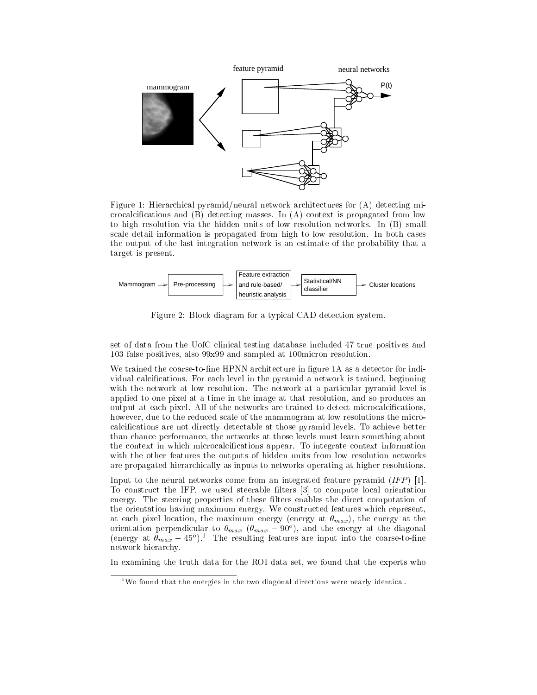

Figure 1: Hierarchical pyramid/neural network architectures for  $(A)$  detecting microcalcications and B detecting masses In A context is propagated from low to high resolution via the hidden units of low resolution networks In B small scale details information is propagated from the second from the solution of the second cases of the second cases the output of the last integration network is an estimate of the probability that a target is present



Figure 2: Block diagram for a typical CAD detection system.

set of data from the UofC clinical testing database included true positives and 103 false positives, also  $99x99$  and sampled at 100 micron resolution.

We trained the coarse-to-fine HPNN architecture in figure 1A as a detector for individual calcications For each level in the pyramid a network is trained beginning with the network at low resolutions at a particular pyramid pyramid level is a p applied to one pixel at a time in the image at that resolution and so produces an output at each pixel All of the networks are trained to detect microcalcications however, due to the reduced scale of the mammogram at low resolutions the microcalcications are not directly detectable at those pyramid levels To achieve better than chance performance, the networks at those levels must learn something about  $\mathbf{L}$ with the other features the outputs of hidden units from low resolution networks are propagated hierarchically as inputs to networks operating at higher resolutions

Input to the neural networks come from an integrated feature pyramid  $(IFP)$  [1]. To construct the IFP, we used steerable filters  $\begin{bmatrix} 3 \end{bmatrix}$  to compute local orientation energy The steering properties of these lters enables the direct computation of the orientation having maximum energy We constructed features which represent at each pixel location, the maximum energy (energy at  $\theta_{max}$ ), the energy at the orientation perpendicular to  $\sigma_{max}$  ( $\sigma_{max}$   $-$  90 ), and the energy at the diagonal (energy at  $\sigma_{max} = 45^\circ$  ). The resulting features are input into the coarse-to-line network hierarchy

In examining the truth data for the ROI data set, we found that the experts who

we found that the energies in the two diagonal directions were nearly identical.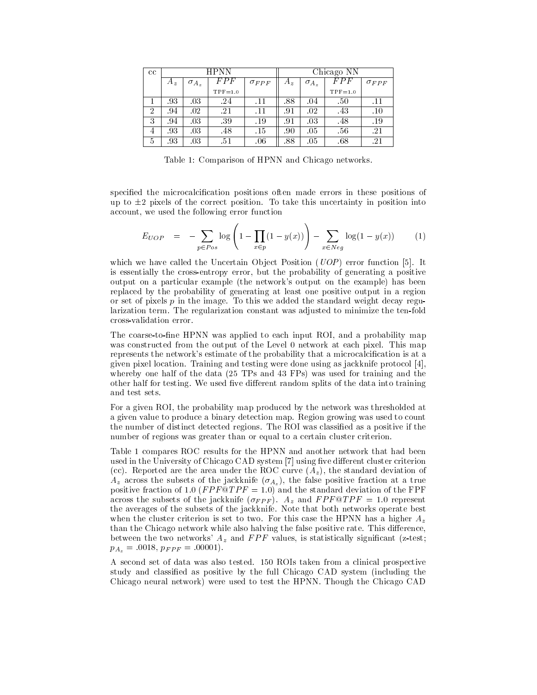| $_{\rm cc}$ | HPNN  |                |           |                | Chicago NN |                |           |              |
|-------------|-------|----------------|-----------|----------------|------------|----------------|-----------|--------------|
|             | $A_z$ | $\sigma_{A_z}$ | FPF       | $\sigma_{FPF}$ | $A_z$      | $\sigma_{A_z}$ |           | $\sigma$ FPF |
|             |       |                | $TPF=1.0$ |                |            |                | $TPF=1.0$ |              |
|             | .93   | .03            | 24        | .11            | 88         | .04            | .50       | $.11\,$      |
| ച<br>Δ      | .94   | .02            | 21        | $\cdot 11$     | .91        | .02            | .43       | $.10\,$      |
| 3           | -94   | .03            | -39       | .19            | .91        | .03            | .48       | .19          |
| 4           | .93   | 03             | 48        | .15            | .90        | .05            | .56       | .21          |
| b           | .93   | .03            | .51       | .06            | .88        | .05            | .68       | .21          |

Table 1: Comparison of HPNN and Chicago networks.

specified the microcalcification positions often made errors in these positions of up to  $\pm 2$  pixels of the correct position. To take this uncertainty in position into account, we used the following error function

$$
E_{UOP} = -\sum_{p \in Pos} \log \left( 1 - \prod_{x \in p} (1 - y(x)) \right) - \sum_{x \in Neg} \log (1 - y(x)) \tag{1}
$$

which we have called the Universities Ob jour Positions (O OP ) first Post function of Post is essentially the crossentropy error but the probability of generating a positive output on a particular example (the network's output on the example) has been replaced by the probability of generating at least one positive output in a region or set of pixels produced the image of pixels pairs we added the image of the standard weight decay regular reg larization term The regularization constant was adjusted to minimize the tenfold cross-validation error.

The coarse-to-fine HPNN was applied to each input ROI, and a probability map was constructed from the output of the Level ateach pixel ateach pixel at the Level ateach pixel at the Level a represents the network's estimate of the probability that a microcalcification is at a  $\alpha$  is the pixel location of the testing were done using we protocol protocol protocol  $\alpha$ where  $\mu$  is the data for the data for the data for the data for the data for the state  $\mu$  the data for the data for the data for the data for the data for the data for the data for the data for the data for the data f other half for testing We used ve dierent random splits of the data into training and test sets

For a given ROI, the probability map produced by the network was thresholded at a given value to produce a binary detection mapping was growing was used to count the number of distinct detected regions. The ROI was classified as a positive if the Ro number of regions was greater than or equal to a certain cluster criterion.

Table 1 compares ROC results for the HPNN and another network that had been used in the University of Chicago CAD system [7] using five different cluster criterion  $\{1,2\}$  , which is the area under the standard deviation  $\{1,2\}$  , the standard deviation of  $\mathcal{A}_\mathbf{z}$  across the subsets of the jacketing (  $\mathbf{A}_\mathbf{z}$  )) and then  $\mathbf{f}$  and the fraction at a true  $\mathbf{f}$  $\mathbf{F}_{\mathbf{f}}$ across the subsets of the jacket  $\mathcal{A}$  and  $\mathcal{A}$  is and  $\mathcal{A}$  is and  $\mathcal{A}$  is and  $\mathcal{A}$  is and  $\mathcal{A}$  is an operator of  $\mathcal{A}$  is an operator of  $\mathcal{A}$  is an operator of  $\mathcal{A}$  is an operator of  $\math$ the averages of the subsets of the jackknife Note that both networks operate best where the cluster criterion is set to two measurements this case the HPNN structure  $\sim$ than the Chicago network while also halving the false positive rate This dierence between the two networks'  $A_z$  and  $FPF$  values, is statistically significant (z-test;  $p_{A_z} = .0018, p_{FPF} = .00001$ .

A second set of data was also tested - ROIs taken from a clinical prospective study and classified as positive by the full Chicago CAD system (including the Chicago neural network were used to test the HPNN Though the Chicago CAD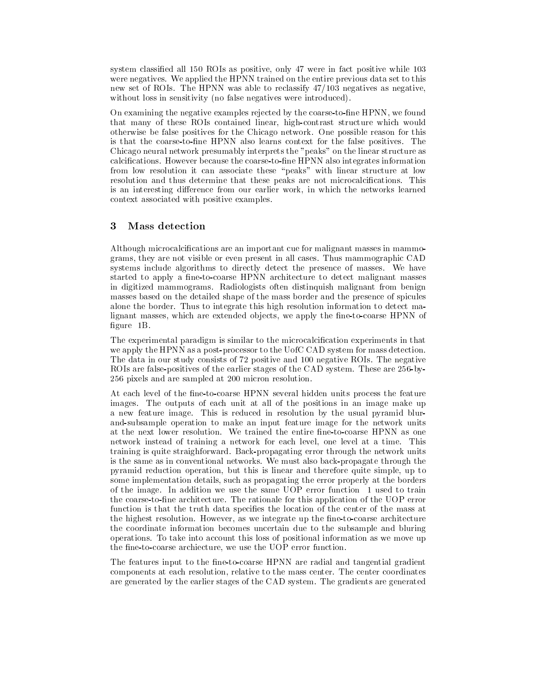system classically all all all  $\mu$  and in fact  $\mu$  - and the set of positive while which  $\mu$ were negatives the HPN trained on the entire previous data set to the entire previous data set to the entire p new set of ROIs and HPNN was able to reclassify the HPNN was able to reclassification and the HPNN was negativ without loss in sensitivity (no false negatives were introduced).

On examining the negative examples rejected by the coarse-to-fine HPNN, we found that many of these ROIs contained linear, high-contrast structure which would otherwise be false positives for the Chicago network One possible reason for this is that the coarsetone HPNN also learns context for the false positives The Chicago neural network presumably interprets the "peaks" on the linear structure as calcies in the coarset the coarset the coarsetone HPNN also integrates in the coarset of the coarset of the coars from low resolution it can associate these "peaks" with linear structure at low resolution and thus determine that these peaks are not microcalcications This is an interesting difference from our earlier work, in which the networks learned context associated with positive examples

## Mass detection

Although microcalcifications are an important cue for malignant masses in mammo- $\mathbf u$  are not visible or even present in all cases  $\mathbf u$  and  $\mathbf v$  in all cases  $\mathbf u$ systems include algorithms to directly detect the presence ofmasses We have started to apply a fine-to-coarse HPNN architecture to detect malignant masses in digitized manufactured manufactured material manufactured manufactured malignatic malignatic compare masses based on the detailed shape of the mass border and the presence of spicules alone the border this high resolution integrate the border this high resolution information information  $I$ lignant masses, which are extended objects, we apply the fine-to-coarse HPNN of  $\mathbb{R}$  and  $\mathbb{R}$  be a set of  $\mathbb{R}$ 

The experimental paradigm is similar to the microcalcification experiments in that we apply the HPNN as a post-processor to the UofC CAD system for mass detection. The data in our study consists of positive and negative ROIs The negative ROIs are falsepositives of the earlier stages of the CAD system These are -by - pixels and are sampled at micron resolution

At each level of the fine-to-coarse HPNN several hidden units process the feature images The outputs of each unit at all of the positions in an image make up a new feature image the communication of the usual pyramid blurs in reduced in resolution of the usual pyramid and-subsample operation to make an input feature image for the network units network instead of training a network for each level one level one level at a time  $\mathbf{m}$  $t$ raining isource straight through the network units  $t$  is  $t$  is a set  $t$  is a set of  $t$  is a set of  $t$  is a set of  $t$  is a set of  $t$  is a set of  $t$  is a set of  $t$  is a set of  $t$  is a set of  $t$  is a set of  $t$ is the same as in conventional networks We must also backpropagate through the pyramid reduction operation, but this is linear and therefore quite simple, up to some implementation details, such as propagating the error properly at the borders  $\mathbf{I}$ the coarsetone architecture The rationale for this application of the UOP error function is that the truth data specifies the location of the center of the mass at the highest resolution in the state  $\alpha$  integrated up the net of the network integrates are  $\alpha$ the coordinate information becomes uncertain due to the subsample and bluring operations To take into account this loss of positional information as we move up the fine-to-coarse archiecture, we use the UOP error function.

The features input to the fine-to-coarse HPNN are radial and tangential gradient components at each resolution relative to the mass center components centered and mass coordinates. are generated by the earlier stages of the CAD system The gradients are generated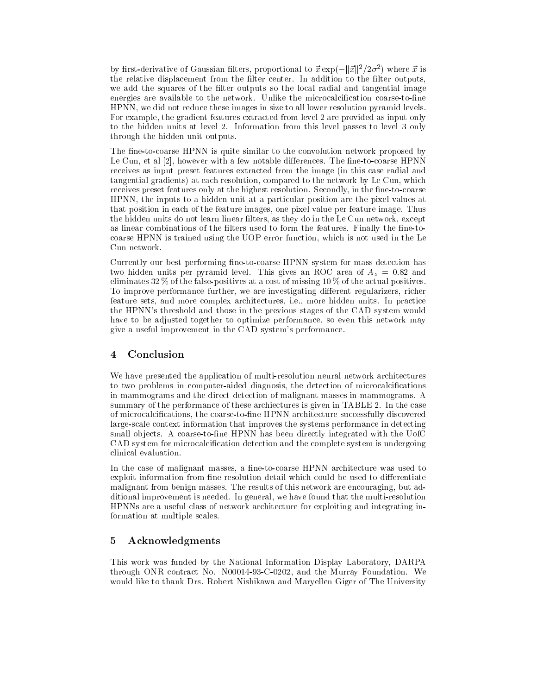by first-derivative of Gaussian filters, proportional to  $\vec{x}$  exp $\left(-\|\vec{x}\|^{2}/2\sigma^{2}\right)$  where  $\vec{x}$  is the relative displacement from the lter center In addition to the left of the left of the light of the light of the light of the light of the light of the lig we add the squares of the filter outputs so the local radial and tangential image energies are available to the microcalcication coarsetones are available the microcalcication coarsetones are HPNN, we did not reduce these images in size to all lower resolution pyramid levels. For example, the gradient features extracted from level 2 are provided as input only to the hidden units at level passes to level passes to level and the passes to level of the passes of  $\sim$ through the hidden unit outputs

The fine-to-coarse HPNN is quite similar to the convolution network proposed by Le Cun et al however with a few notable dierences The netocoarse HPNN receives as input preset features extracted from the image (in this case radial and tangential gradients) at each resolution, compared to the network by Le Cun, which receives preset features only at the highest resolution Secondly in the netocoarse HPNN the inputs to a hidden unit at a particular position are the pixel values at that position in each of the feature images one pixel value per feature image Thus the hidden units do not learn linear filters, as they do in the Le Cun network, except as linear combinations of the lters used to form the features used to form the features  $\mathbb{F}_{\mathbb{F}_{q}}$ coarse HPNN is trained using the UOP error function which is not used in the Le Cun network

Currently our best performing fine-to-coarse HPNN system for mass detection has two hidden units per pyramid level  $\mu$  and  $\mu$  are an  $\mu$ eliminates  $32\%$  of the false-positives at a cost of missing  $10\%$  of the actual positives. To improve performance further, we are investigating different regularizers, richer feature sets and more complex architectures i e more hidden units In practice the HPNN's threshold and those in the previous stages of the CAD system would have to be adjusted together to optimize performance, so even this network may give a useful improvement in the CAD system's performance.

#### $\overline{4}$ Conclusion

We have presented the application of multi-resolution neural network architectures to two problems in computer-aided diagnosis, the detection of microcalcifications in mammograms and the direct detection of malignant masses in mammograms summary of the performance of these archiectures is given in TABLE In the case of microcalcifications, the coarse-to-fine HPNN architecture successfully discovered large-scale context information that improves the systems performance in detecting small objects in the coarset and many the second with the United With the UofC CAD system for microcalcification detection and the complete system is undergoing clinical evaluation

In the case of malignant masses, a fine-to-coarse HPNN architecture was used to exploit information from fine resolution detail which could be used to differentiate malignant from bening masses are encouraging the results of the results of the results of this network are encouraging but address of the contract of the contract of the contract of the contract of the contract of the cont ditional improvement is needed In general we have found that the multiresolution HPNNs are a useful class of network architecture for exploiting and integrating in formation at multiple scales

## Acknowledgments

This work was funded by the National Information Display Laboratory DARPA through ONR contract No NC and the Murray Foundation would like to thank Dramatical Like to the University of The University of The University of The University of